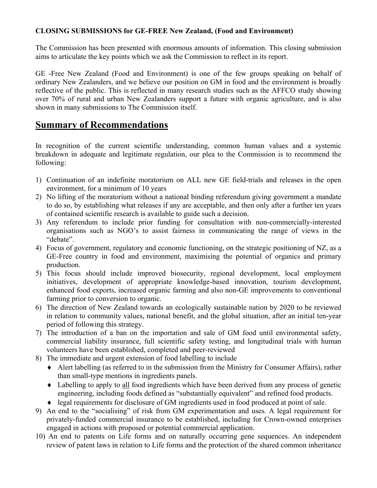#### **CLOSING SUBMISSIONS for GE-FREE New Zealand, (Food and Environment)**

The Commission has been presented with enormous amounts of information. This closing submission aims to articulate the key points which we ask the Commission to reflect in its report.

GE -Free New Zealand (Food and Environment) is one of the few groups speaking on behalf of ordinary New Zealanders, and we believe our position on GM in food and the environment is broadly reflective of the public. This is reflected in many research studies such as the AFFCO study showing over 70% of rural and urban New Zealanders support a future with organic agriculture, and is also shown in many submissions to The Commission itself.

# **Summary of Recommendations**

In recognition of the current scientific understanding, common human values and a systemic breakdown in adequate and legitimate regulation, our plea to the Commission is to recommend the following:

- 1) Continuation of an indefinite moratorium on ALL new GE field-trials and releases in the open environment, for a minimum of 10 years
- 2) No lifting of the moratorium without a national binding referendum giving government a mandate to do so, by establishing what releases if any are acceptable, and then only after a further ten years of contained scientific research is available to guide such a decision.
- 3) Any referendum to include prior funding for consultation with non-commercially-interested organisations such as NGO's to assist fairness in communicating the range of views in the "debate".
- 4) Focus of government, regulatory and economic functioning, on the strategic positioning of NZ, as a GE-Free country in food and environment, maximising the potential of organics and primary production.
- 5) This focus should include improved biosecurity, regional development, local employment initiatives, development of appropriate knowledge-based innovation, tourism development, enhanced food exports, increased organic farming and also non-GE improvements to conventional farming prior to conversion to organic.
- 6) The direction of New Zealand towards an ecologically sustainable nation by 2020 to be reviewed in relation to community values, national benefit, and the global situation, after an initial ten-year period of following this strategy.
- 7) The introduction of a ban on the importation and sale of GM food until environmental safety, commercial liability insurance, full scientific safety testing, and longitudinal trials with human volunteers have been established, completed and peer-reviewed
- 8) The immediate and urgent extension of food labelling to include
	- ♦ Alert labelling (as referred to in the submission from the Ministry for Consumer Affairs), rather than small-type mentions in ingredients panels.
	- ♦ Labelling to apply to all food ingredients which have been derived from any process of genetic engineering, including foods defined as "substantially equivalent" and refined food products.
	- ♦ legal requirements for disclosure of GM ingredients used in food produced at point of sale.
- 9) An end to the "socialising" of risk from GM experimentation and uses. A legal requirement for privately-funded commercial insurance to be established, including for Crown-owned enterprises engaged in actions with proposed or potential commercial application.
- 10) An end to patents on Life forms and on naturally occurring gene sequences. An independent review of patent laws in relation to Life forms and the protection of the shared common inheritance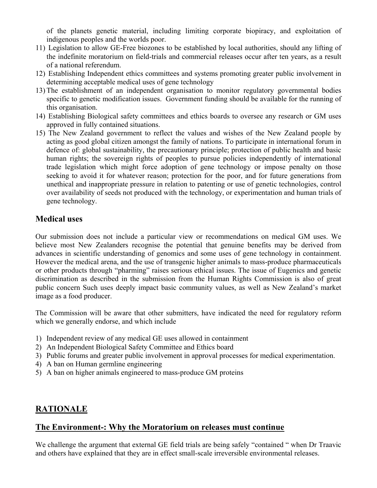of the planets genetic material, including limiting corporate biopiracy, and exploitation of indigenous peoples and the worlds poor.

- 11) Legislation to allow GE-Free biozones to be established by local authorities, should any lifting of the indefinite moratorium on field-trials and commercial releases occur after ten years, as a result of a national referendum.
- 12) Establishing Independent ethics committees and systems promoting greater public involvement in determining acceptable medical uses of gene technology
- 13) The establishment of an independent organisation to monitor regulatory governmental bodies specific to genetic modification issues. Government funding should be available for the running of this organisation.
- 14) Establishing Biological safety committees and ethics boards to oversee any research or GM uses approved in fully contained situations.
- 15) The New Zealand government to reflect the values and wishes of the New Zealand people by acting as good global citizen amongst the family of nations. To participate in international forum in defence of: global sustainability, the precautionary principle; protection of public health and basic human rights; the sovereign rights of peoples to pursue policies independently of international trade legislation which might force adoption of gene technology or impose penalty on those seeking to avoid it for whatever reason; protection for the poor, and for future generations from unethical and inappropriate pressure in relation to patenting or use of genetic technologies, control over availability of seeds not produced with the technology, or experimentation and human trials of gene technology.

### **Medical uses**

Our submission does not include a particular view or recommendations on medical GM uses. We believe most New Zealanders recognise the potential that genuine benefits may be derived from advances in scientific understanding of genomics and some uses of gene technology in containment. However the medical arena, and the use of transgenic higher animals to mass-produce pharmaceuticals or other products through "pharming" raises serious ethical issues. The issue of Eugenics and genetic discrimination as described in the submission from the Human Rights Commission is also of great public concern Such uses deeply impact basic community values, as well as New Zealand's market image as a food producer.

The Commission will be aware that other submitters, have indicated the need for regulatory reform which we generally endorse, and which include

- 1) Independent review of any medical GE uses allowed in containment
- 2) An Independent Biological Safety Committee and Ethics board
- 3) Public forums and greater public involvement in approval processes for medical experimentation.
- 4) A ban on Human germline engineering
- 5) A ban on higher animals engineered to mass-produce GM proteins

## **RATIONALE**

#### **The Environment-: Why the Moratorium on releases must continue**

We challenge the argument that external GE field trials are being safely "contained " when Dr Traavic and others have explained that they are in effect small-scale irreversible environmental releases.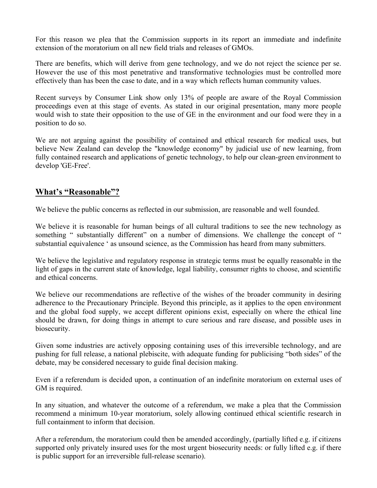For this reason we plea that the Commission supports in its report an immediate and indefinite extension of the moratorium on all new field trials and releases of GMOs.

There are benefits, which will derive from gene technology, and we do not reject the science per se. However the use of this most penetrative and transformative technologies must be controlled more effectively than has been the case to date, and in a way which reflects human community values.

Recent surveys by Consumer Link show only 13% of people are aware of the Royal Commission proceedings even at this stage of events. As stated in our original presentation, many more people would wish to state their opposition to the use of GE in the environment and our food were they in a position to do so.

We are not arguing against the possibility of contained and ethical research for medical uses, but believe New Zealand can develop the "knowledge economy" by judicial use of new learning, from fully contained research and applications of genetic technology, to help our clean-green environment to develop 'GE-Free'.

## **What's "Reasonable"?**

We believe the public concerns as reflected in our submission, are reasonable and well founded.

We believe it is reasonable for human beings of all cultural traditions to see the new technology as something " substantially different" on a number of dimensions. We challenge the concept of " substantial equivalence ' as unsound science, as the Commission has heard from many submitters.

We believe the legislative and regulatory response in strategic terms must be equally reasonable in the light of gaps in the current state of knowledge, legal liability, consumer rights to choose, and scientific and ethical concerns.

We believe our recommendations are reflective of the wishes of the broader community in desiring adherence to the Precautionary Principle. Beyond this principle, as it applies to the open environment and the global food supply, we accept different opinions exist, especially on where the ethical line should be drawn, for doing things in attempt to cure serious and rare disease, and possible uses in biosecurity.

Given some industries are actively opposing containing uses of this irreversible technology, and are pushing for full release, a national plebiscite, with adequate funding for publicising "both sides" of the debate, may be considered necessary to guide final decision making.

Even if a referendum is decided upon, a continuation of an indefinite moratorium on external uses of GM is required.

In any situation, and whatever the outcome of a referendum, we make a plea that the Commission recommend a minimum 10-year moratorium, solely allowing continued ethical scientific research in full containment to inform that decision.

After a referendum, the moratorium could then be amended accordingly, (partially lifted e.g. if citizens supported only privately insured uses for the most urgent biosecurity needs: or fully lifted e.g. if there is public support for an irreversible full-release scenario).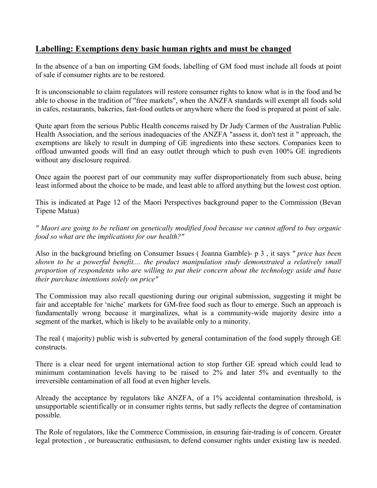## **Labelling: Exemptions deny basic human rights and must be changed**

In the absence of a ban on importing GM foods, labelling of GM food must include all foods at point of sale if consumer rights are to be restored.

It is unconscionable to claim regulators will restore consumer rights to know what is in the food and be able to choose in the tradition of "free markets", when the ANZFA standards will exempt all foods sold in cafes, restaurants, bakeries, fast-food outlets or anywhere where the food is prepared at point of sale.

Quite apart from the serious Public Health concerns raised by Dr Judy Carmen of the Australian Public Health Association, and the serious inadequacies of the ANZFA "assess it, don't test it " approach, the exemptions are likely to result in dumping of GE ingredients into these sectors. Companies keen to offload unwanted goods will find an easy outlet through which to push even 100% GE ingredients without any disclosure required.

Once again the poorest part of our community may suffer disproportionately from such abuse, being least informed about the choice to be made, and least able to afford anything but the lowest cost option.

This is indicated at Page 12 of the Maori Perspectives background paper to the Commission (Bevan Tipene Matua)

*" Maori are going to be reliant on genetically modified food because we cannot afford to buy organic food so what are the implications for our health?"* 

Also in the background briefing on Consumer Issues ( Joanna Gamble)- p 3 , it says *" price has been shown to be a powerful benefit.... the product manipulation study demonstrated a relatively small proportion of respondents who are willing to put their concern about the technology aside and base their purchase intentions solely on price"*

The Commission may also recall questioning during our original submission, suggesting it might be fair and acceptable for 'niche' markets for GM-free food such as flour to emerge. Such an approach is fundamentally wrong because it marginalizes, what is a community-wide majority desire into a segment of the market, which is likely to be available only to a minority.

The real ( majority) public wish is subverted by general contamination of the food supply through GE constructs.

There is a clear need for urgent international action to stop further GE spread which could lead to minimum contamination levels having to be raised to 2% and later 5% and eventually to the irreversible contamination of all food at even higher levels.

Already the acceptance by regulators like ANZFA, of a 1% accidental contamination threshold, is unsupportable scientifically or in consumer rights terms, but sadly reflects the degree of contamination possible.

The Role of regulators, like the Commerce Commission, in ensuring fair-trading is of concern. Greater legal protection , or bureaucratic enthusiasm, to defend consumer rights under existing law is needed.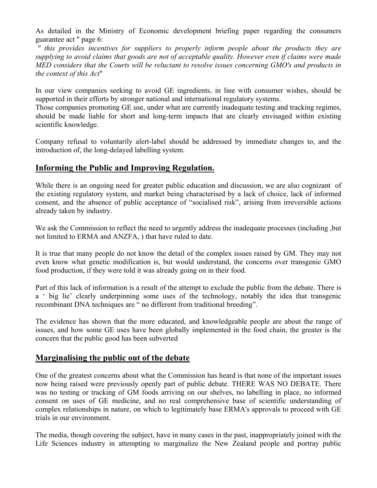As detailed in the Ministry of Economic development briefing paper regarding the consumers guarantee act " page 6:

*" this provides incentives for suppliers to properly inform people about the products they are supplying to avoid claims that goods are not of acceptable quality. However even if claims were made MED considers that the Courts will be reluctant to resolve issues concerning GMO's and products in the context of this Act*"

In our view companies seeking to avoid GE ingredients, in line with consumer wishes, should be supported in their efforts by stronger national and international regulatory systems.

Those companies promoting GE use, under what are currently inadequate testing and tracking regimes, should be made liable for short and long-term impacts that are clearly envisaged within existing scientific knowledge.

Company refusal to voluntarily alert-label should be addressed by immediate changes to, and the introduction of, the long-delayed labelling system.

### **Informing the Public and Improving Regulation.**

While there is an ongoing need for greater public education and discussion, we are also cognizant of the existing regulatory system, and market being characterised by a lack of choice, lack of informed consent, and the absence of public acceptance of "socialised risk", arising from irreversible actions already taken by industry.

We ask the Commission to reflect the need to urgently address the inadequate processes (including ,but not limited to ERMA and ANZFA, ) that have ruled to date.

It is true that many people do not know the detail of the complex issues raised by GM. They may not even know what genetic modification is, but would understand, the concerns over transgenic GMO food production, if they were told it was already going on in their food.

Part of this lack of information is a result of the attempt to exclude the public from the debate. There is a ' big lie' clearly underpinning some uses of the technology, notably the idea that transgenic recombinant DNA techniques are " no different from traditional breeding".

The evidence has shown that the more educated, and knowledgeable people are about the range of issues, and how some GE uses have been globally implemented in the food chain, the greater is the concern that the public good has been subverted

## **Marginalising the public out of the debate**

One of the greatest concerns about what the Commission has heard is that none of the important issues now being raised were previously openly part of public debate. THERE WAS NO DEBATE. There was no testing or tracking of GM foods arriving on our shelves, no labelling in place, no informed consent on uses of GE medicine, and no real comprehensive base of scientific understanding of complex relationships in nature, on which to legitimately base ERMA's approvals to proceed with GE trials in our environment.

The media, though covering the subject, have in many cases in the past, inappropriately joined with the Life Sciences industry in attempting to marginalize the New Zealand people and portray public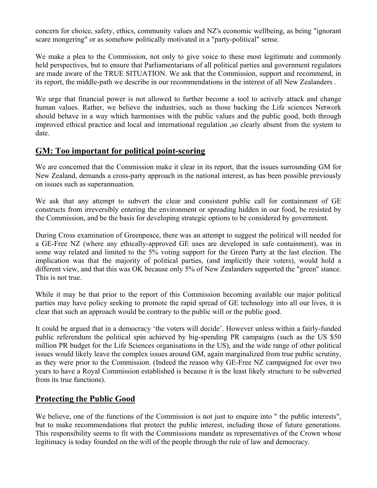concern for choice, safety, ethics, community values and NZ's economic wellbeing, as being "ignorant scare mongering" or as somehow politically motivated in a "party-political" sense.

We make a plea to the Commission, not only to give voice to these most legitimate and commonly held perspectives, but to ensure that Parliamentarians of all political parties and government regulators are made aware of the TRUE SITUATION. We ask that the Commission, support and recommend, in its report, the middle-path we describe in our recommendations in the interest of all New Zealanders .

We urge that financial power is not allowed to further become a tool to actively attack and change human values. Rather, we believe the industries, such as those backing the Life sciences Network should behave in a way which harmonises with the public values and the public good, both through improved ethical practice and local and international regulation ,so clearly absent from the system to date.

### **GM: Too important for political point-scoring**

We are concerned that the Commission make it clear in its report, that the issues surrounding GM for New Zealand, demands a cross-party approach in the national interest, as has been possible previously on issues such as superannuation.

We ask that any attempt to subvert the clear and consistent public call for containment of GE constructs from irreversibly entering the environment or spreading hidden in our food, be resisted by the Commission, and be the basis for developing strategic options to be considered by government.

During Cross examination of Greenpeace, there was an attempt to suggest the political will needed for a GE-Free NZ (where any ethically-approved GE uses are developed in safe containment), was in some way related and limited to the 5% voting support for the Green Party at the last election. The implication was that the majority of political parties, (and implicitly their voters), would hold a different view, and that this was OK because only 5% of New Zealanders supported the "green" stance. This is not true.

While it may be that prior to the report of this Commission becoming available our major political parties may have policy seeking to promote the rapid spread of GE technology into all our lives, it is clear that such an approach would be contrary to the public will or the public good.

It could be argued that in a democracy 'the voters will decide'. However unless within a fairly-funded public referendum the political spin achieved by big-spending PR campaigns (such as the US \$50 million PR budget for the Life Sciences organisations in the US), and the wide range of other political issues would likely leave the complex issues around GM, again marginalized from true public scrutiny, as they were prior to the Commission. (Indeed the reason why GE-Free NZ campaigned for over two years to have a Royal Commission established is because it is the least likely structure to be subverted from its true functions).

## **Protecting the Public Good**

We believe, one of the functions of the Commission is not just to enquire into " the public interests", but to make recommendations that protect the public interest, including those of future generations. This responsibility seems to fit with the Commissions mandate as representatives of the Crown whose legitimacy is today founded on the will of the people through the rule of law and democracy.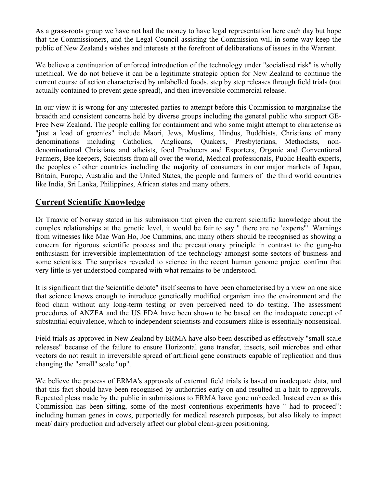As a grass-roots group we have not had the money to have legal representation here each day but hope that the Commissioners, and the Legal Council assisting the Commission will in some way keep the public of New Zealand's wishes and interests at the forefront of deliberations of issues in the Warrant.

We believe a continuation of enforced introduction of the technology under "socialised risk" is wholly unethical. We do not believe it can be a legitimate strategic option for New Zealand to continue the current course of action characterised by unlabelled foods, step by step releases through field trials (not actually contained to prevent gene spread), and then irreversible commercial release.

In our view it is wrong for any interested parties to attempt before this Commission to marginalise the breadth and consistent concerns held by diverse groups including the general public who support GE-Free New Zealand. The people calling for containment and who some might attempt to characterise as "just a load of greenies" include Maori, Jews, Muslims, Hindus, Buddhists, Christians of many denominations including Catholics, Anglicans, Quakers, Presbyterians, Methodists, nondenominational Christians and atheists, food Producers and Exporters, Organic and Conventional Farmers, Bee keepers, Scientists from all over the world, Medical professionals, Public Health experts, the peoples of other countries including the majority of consumers in our major markets of Japan, Britain, Europe, Australia and the United States, the people and farmers of the third world countries like India, Sri Lanka, Philippines, African states and many others.

## **Current Scientific Knowledge**

Dr Traavic of Norway stated in his submission that given the current scientific knowledge about the complex relationships at the genetic level, it would be fair to say " there are no 'experts'". Warnings from witnesses like Mae Wan Ho, Joe Cummins, and many others should be recognised as showing a concern for rigorous scientific process and the precautionary principle in contrast to the gung-ho enthusiasm for irreversible implementation of the technology amongst some sectors of business and some scientists. The surprises revealed to science in the recent human genome project confirm that very little is yet understood compared with what remains to be understood.

It is significant that the 'scientific debate" itself seems to have been characterised by a view on one side that science knows enough to introduce genetically modified organism into the environment and the food chain without any long-term testing or even perceived need to do testing. The assessment procedures of ANZFA and the US FDA have been shown to be based on the inadequate concept of substantial equivalence, which to independent scientists and consumers alike is essentially nonsensical.

Field trials as approved in New Zealand by ERMA have also been described as effectively "small scale releases" because of the failure to ensure Horizontal gene transfer, insects, soil microbes and other vectors do not result in irreversible spread of artificial gene constructs capable of replication and thus changing the "small" scale "up".

We believe the process of ERMA's approvals of external field trials is based on inadequate data, and that this fact should have been recognised by authorities early on and resulted in a halt to approvals. Repeated pleas made by the public in submissions to ERMA have gone unheeded. Instead even as this Commission has been sitting, some of the most contentious experiments have " had to proceed": including human genes in cows, purportedly for medical research purposes, but also likely to impact meat/ dairy production and adversely affect our global clean-green positioning.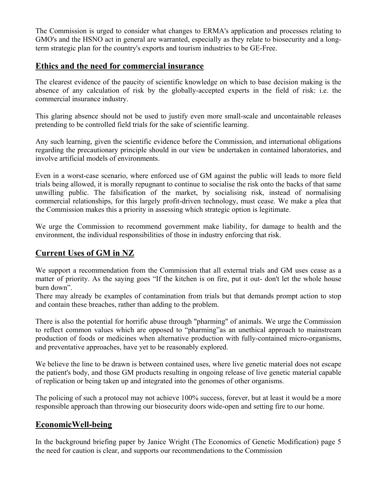The Commission is urged to consider what changes to ERMA's application and processes relating to GMO's and the HSNO act in general are warranted, especially as they relate to biosecurity and a longterm strategic plan for the country's exports and tourism industries to be GE-Free.

### **Ethics and the need for commercial insurance**

The clearest evidence of the paucity of scientific knowledge on which to base decision making is the absence of any calculation of risk by the globally-accepted experts in the field of risk: i.e. the commercial insurance industry.

This glaring absence should not be used to justify even more small-scale and uncontainable releases pretending to be controlled field trials for the sake of scientific learning.

Any such learning, given the scientific evidence before the Commission, and international obligations regarding the precautionary principle should in our view be undertaken in contained laboratories, and involve artificial models of environments.

Even in a worst-case scenario, where enforced use of GM against the public will leads to more field trials being allowed, it is morally repugnant to continue to socialise the risk onto the backs of that same unwilling public. The falsification of the market, by socialising risk, instead of normalising commercial relationships, for this largely profit-driven technology, must cease. We make a plea that the Commission makes this a priority in assessing which strategic option is legitimate.

We urge the Commission to recommend government make liability, for damage to health and the environment, the individual responsibilities of those in industry enforcing that risk.

## **Current Uses of GM in NZ**

We support a recommendation from the Commission that all external trials and GM uses cease as a matter of priority. As the saying goes "If the kitchen is on fire, put it out- don't let the whole house burn down".

There may already be examples of contamination from trials but that demands prompt action to stop and contain these breaches, rather than adding to the problem.

There is also the potential for horrific abuse through "pharming" of animals. We urge the Commission to reflect common values which are opposed to "pharming"as an unethical approach to mainstream production of foods or medicines when alternative production with fully-contained micro-organisms, and preventative approaches, have yet to be reasonably explored.

We believe the line to be drawn is between contained uses, where live genetic material does not escape the patient's body, and those GM products resulting in ongoing release of live genetic material capable of replication or being taken up and integrated into the genomes of other organisms.

The policing of such a protocol may not achieve 100% success, forever, but at least it would be a more responsible approach than throwing our biosecurity doors wide-open and setting fire to our home.

## **EconomicWell-being**

In the background briefing paper by Janice Wright (The Economics of Genetic Modification) page 5 the need for caution is clear, and supports our recommendations to the Commission